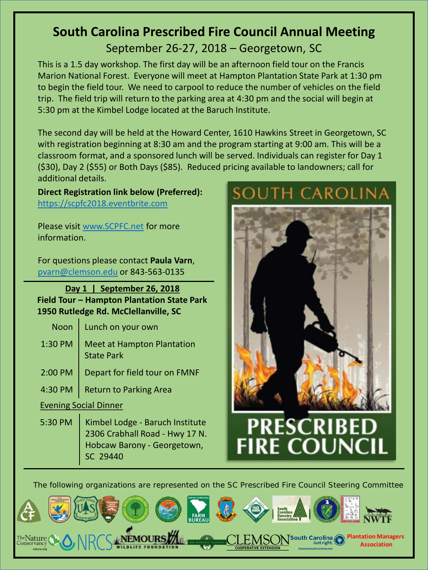### **South Carolina Prescribed Fire Council Annual Meeting** September 26-27, 2018 – Georgetown, SC

This is a 1.5 day workshop. The first day will be an afternoon field tour on the Francis Marion National Forest. Everyone will meet at Hampton Plantation State Park at 1:30 pm to begin the field tour. We need to carpool to reduce the number of vehicles on the field trip. The field trip will return to the parking area at 4:30 pm and the social will begin at 5:30 pm at the Kimbel Lodge located at the Baruch Institute.

The second day will be held at the Howard Center, 1610 Hawkins Street in Georgetown, SC with registration beginning at 8:30 am and the program starting at 9:00 am. This will be a classroom format, and a sponsored lunch will be served. Individuals can register for Day 1 (\$30), Day 2 (\$55) or Both Days (\$85). Reduced pricing available to landowners; call for additional details.

#### **Direct Registration link below (Preferred):** [https://scpfc2018.eventbrite.com](https://scpfc2018.eventbrite.com/)

Please visit [www.SCPFC.net](http://www.scpfc.net/) for more information.

For questions please contact **Paula Varn**, [pvarn@clemson.edu](mailto:pvarn@clemson.edu) or 843-563-0135

#### **Day 1 | September 26, 2018 Field Tour – Hampton Plantation State Park 1950 Rutledge Rd. McClellanville, SC**

| Noon   Lunch on your own                                  |
|-----------------------------------------------------------|
| 1:30 PM   Meet at Hampton Plantation<br><b>State Park</b> |
| 2:00 PM   Depart for field tour on FMNF                   |

4:30 PM  $\vert$  Return to Parking Area

#### Evening Social Dinner

5:30 PM | Kimbel Lodge - Baruch Institute 2306 Crabhall Road - Hwy 17 N. Hobcaw Barony - Georgetown, SC 29440

## uth Carolin*a*



# **PRESCRIBEI FIRE COUNCIL**

The following organizations are represented on the SC Prescribed Fire Council Steering Committee